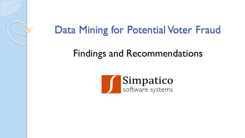

### Data Mining for Potential Voter Fraud

#### Findings and Recommendations

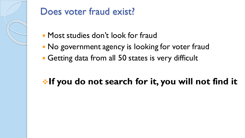

#### Does voter fraud exist?

- Most studies don't look for fraud
- No government agency is looking for voter fraud
- Getting data from all 50 states is very difficult

#### **If you do not search for it, you will not find it**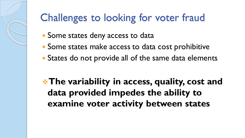### Challenges to looking for voter fraud

- Some states deny access to data
- Some states make access to data cost prohibitive
- States do not provide all of the same data elements

**The variability in access, quality, cost and data provided impedes the ability to examine voter activity between states**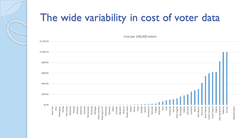# The wide variability in cost of voter data

Cost per 100,000 voters

| \$1,200.00 |          |      |            |         |            |          |                    |            |         |              |         |                            |               |           |          |       |          |          |          |              |        |         |                 |         |        |             |          |        |          |      |      |           |        |               |             |         |         |           |       |            |           |              |                |              |          |               |         |         |               |  |
|------------|----------|------|------------|---------|------------|----------|--------------------|------------|---------|--------------|---------|----------------------------|---------------|-----------|----------|-------|----------|----------|----------|--------------|--------|---------|-----------------|---------|--------|-------------|----------|--------|----------|------|------|-----------|--------|---------------|-------------|---------|---------|-----------|-------|------------|-----------|--------------|----------------|--------------|----------|---------------|---------|---------|---------------|--|
|            |          |      |            |         |            |          |                    |            |         |              |         |                            |               |           |          |       |          |          |          |              |        |         |                 |         |        |             |          |        |          |      |      |           |        |               |             |         |         |           |       |            |           |              |                |              |          |               |         |         |               |  |
| \$1,000.00 |          |      |            |         |            |          |                    |            |         |              |         |                            |               |           |          |       |          |          |          |              |        |         |                 |         |        |             |          |        |          |      |      |           |        |               |             |         |         |           |       |            |           |              |                |              |          |               |         |         |               |  |
| \$800.00   |          |      |            |         |            |          |                    |            |         |              |         |                            |               |           |          |       |          |          |          |              |        |         |                 |         |        |             |          |        |          |      |      |           |        |               |             |         |         |           |       |            |           |              |                |              |          |               |         |         |               |  |
| \$600.00   |          |      |            |         |            |          |                    |            |         |              |         |                            |               |           |          |       |          |          |          |              |        |         |                 |         |        |             |          |        |          |      |      |           |        |               |             |         |         |           |       |            |           |              |                |              |          |               |         |         |               |  |
| \$400.00   |          |      |            |         |            |          |                    |            |         |              |         |                            |               |           |          |       |          |          |          |              |        |         |                 |         |        |             |          |        |          |      |      |           |        |               |             |         |         |           |       |            |           |              |                |              |          |               |         |         |               |  |
| \$200.00   |          |      |            |         |            |          |                    |            |         |              |         |                            |               |           |          |       |          |          |          |              |        |         |                 |         |        |             |          |        |          |      |      |           |        |               |             |         |         |           |       |            |           |              |                |              |          |               |         |         |               |  |
| \$0.00     |          |      |            |         |            |          |                    |            |         |              |         |                            |               |           |          |       |          |          |          |              |        |         |                 |         |        |             |          |        |          |      |      |           |        |               |             |         |         |           |       |            |           |              |                |              |          |               |         |         |               |  |
|            | New York | Ohio | Washington | Florida | New Jersey | Oklahoma | Nevada<br>Arkansas | California | Vermont | Pennsylvania | Wyoming | Michigan<br>North Carolina | Washington DC | Minnesota | Delaware | ldaho | Colorado | Maryland | Missouri | Rhode Island | Alaska | llinois | Texas<br>$\sim$ | Georgia | kansas | Connecticut | Kentucky | Oregon | Nebraska | lowa | Utah | Tennessee | Hawaii | West Virginia | Mississippi | Indiana | Montana | Louisiana | Maine | New Mexico | Wisconsin | North Dakota | South Carolina | South Dakota | Virginia | New Hampshire | Alabama | Arizona | Massachusetts |  |

 $\mathbf{1}$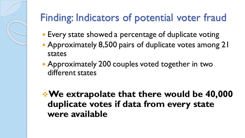# Finding: Indicators of potential voter fraud

- Every state showed a percentage of duplicate voting
- Approximately 8,500 pairs of duplicate votes among 21 states
- Approximately 200 couples voted together in two different states

**We extrapolate that there would be 40,000 duplicate votes if data from every state were available**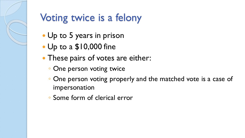## Voting twice is a felony

- Up to 5 years in prison
- Up to a \$10,000 fine
- These pairs of votes are either:
	- One person voting twice
	- One person voting properly and the matched vote is a case of impersonation
	- Some form of clerical error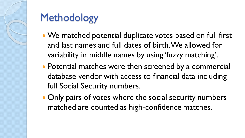

# Methodology

- We matched potential duplicate votes based on full first and last names and full dates of birth. We allowed for variability in middle names by using 'fuzzy matching'.
- Potential matches were then screened by a commercial database vendor with access to financial data including full Social Security numbers.
- Only pairs of votes where the social security numbers matched are counted as high-confidence matches.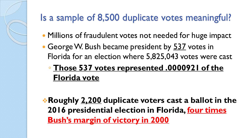#### Is a sample of 8,500 duplicate votes meaningful?

- Millions of fraudulent votes not needed for huge impact
- George W. Bush became president by 537 votes in Florida for an election where 5,825,043 votes were cast
	- **Those 537 votes represented .0000921 of the Florida vote**

**Roughly 2,200 duplicate voters cast a ballot in the 2016 presidential election in Florida, four times Bush's margin of victory in 2000**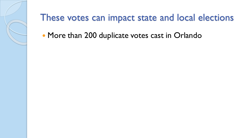

#### These votes can impact state and local elections

• More than 200 duplicate votes cast in Orlando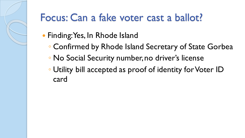### Focus: Can a fake voter cast a ballot?

- Finding: Yes, In Rhode Island
	- Confirmed by Rhode Island Secretary of State Gorbea
	- No Social Security number, no driver's license
	- Utility bill accepted as proof of identity for Voter ID card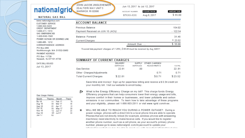#### JOHN JACOB JINGLEHEIMER nationalgrid 20 ALTIERI WAY UNIT 3 WARWICK RI 02886

Jun 13, 2017 to Jul 12, 2017

| ACCOUNT NUMBER | PLEASE PAYBY | AMOUNT DUE |
|----------------|--------------|------------|
| 67XXX-XXX      | Aug 6, 2017  | \$55.00    |

#### **NATURAL GAS BILL**

www.nationalgridus.com **CUSTOMER SERVICE** 1-800-322-3223 CREDIT DEPARTMENT 1-888-211-1313 GAS EMERGENCIES 1-800-640-1595 POWER OUTAGE OR DOWNED LINE 1-800-465- 1212 CORRESPONDENCE ADDRESS PO Box 960 Northborough, MA 01532-0960 PAYMENT ADDRESS PO Box 11739 Newark, NJ 07101-4739

| <b>ACCOUNT BALANCE</b>           |            |           |
|----------------------------------|------------|-----------|
| Previous Balance                 |            | 154.02    |
| Payment Received on JUN 15 (ACh) |            | $-122.54$ |
| Balance Forward                  |            | 31.48     |
| Current Charges                  |            | $+23.52$  |
|                                  | Amount Due | \$5.00    |

To avoid late payment charges of f.25%, \$55.00 must be received by Aug 62017.

| SUMMARY OF CURRENT CHARGES |                  |          |                        |              |
|----------------------------|------------------|----------|------------------------|--------------|
|                            | DELIVERY         |          | SUPPLY OTHER C-JARGES/ |              |
|                            | <b>SERVILLES</b> | SERVIUES | <b>AUJUSTMENTS</b>     | <b>IUIAL</b> |
| Gas Service                | 22.81            | 00       |                        | 22.81        |
| Other Charges/Adjustments  |                  |          | 0 71                   | 0.71         |
| Total Current Charges      | \$22.81          |          | \$0.71                 | \$23.52      |

Save time and money! Sign up for paperless billing and receive a \$0.34 credit on your monthly bill. Visit our website to enroll today.

- What is the Energy Efficiency Charge on my bill? This charge funds Energy  $t$ Efficiency programs that can help consumers lower their energy usage and bills, improve comfort in their homes or businesses, and lower pollutants and carbon emissions in our communities. To learn how to take advantage of these programs and your eligibility, please call 1-866-903-2811 or visit www.ngrid.com/ri-ee.
- $\star$ WILL WE BE ABLE TO REACH YOU DURING A POWER OUTAGE?: During a power outage, phones with a direct link to a local phone line are able to operate. Phones that are not directly linked (for example, wireless phones with answering machines) need electricity to make/receive calls. If you would like to register another phone number, such as a cell phone, as your account's primary phone number, please go to www.nationalgrid.com/myaccount to update your ta fa ang atha ang athait ng masa ng kanadolang ang ang kasang sidik taong antarat ta fa ang atha ang kisata a

#### Gas Usage History

DATE BILL ISSUED Jul 13.2017

| Month  | Therms Month |          | Therm |
|--------|--------------|----------|-------|
| Jul 16 | on.          | Feb 17   | 75    |
| Aug 16 | 00           | Mar 17   | 46    |
| Sep 16 | 01           | Apr 17   | 50    |
| Oct 16 | 00           | May 17   | C9    |
| Nov 16 | 12           | Jun 17   | C4    |
| Dec 16 |              | 48 Jul17 | 00    |
| Jan 1/ | 62           |          |       |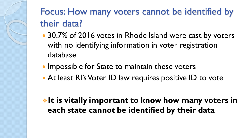#### Focus: How many voters cannot be identified by their data?

- 30.7% of 2016 votes in Rhode Island were cast by voters with no identifying information in voter registration database
- Impossible for State to maintain these voters
- At least RI's Voter ID law requires positive ID to vote

#### **Example 1 Fig. 2 It is vitally important to know how many voters in each state cannot be identified by their data**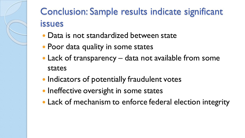

#### Conclusion: Sample results indicate significant issues

- Data is not standardized between state
- Poor data quality in some states
- Lack of transparency data not available from some states
- Indicators of potentially fraudulent votes
- Ineffective oversight in some states
- Lack of mechanism to enforce federal election integrity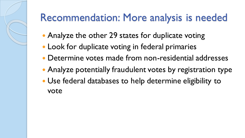### Recommendation: More analysis is needed

- Analyze the other 29 states for duplicate voting
- Look for duplicate voting in federal primaries
- Determine votes made from non-residential addresses
- Analyze potentially fraudulent votes by registration type
- Use federal databases to help determine eligibility to vote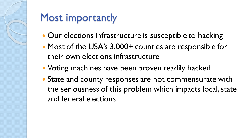

#### Most importantly

- Our elections infrastructure is susceptible to hacking
- Most of the USA's 3,000+ counties are responsible for their own elections infrastructure
- Voting machines have been proven readily hacked
- State and county responses are not commensurate with the seriousness of this problem which impacts local, state and federal elections